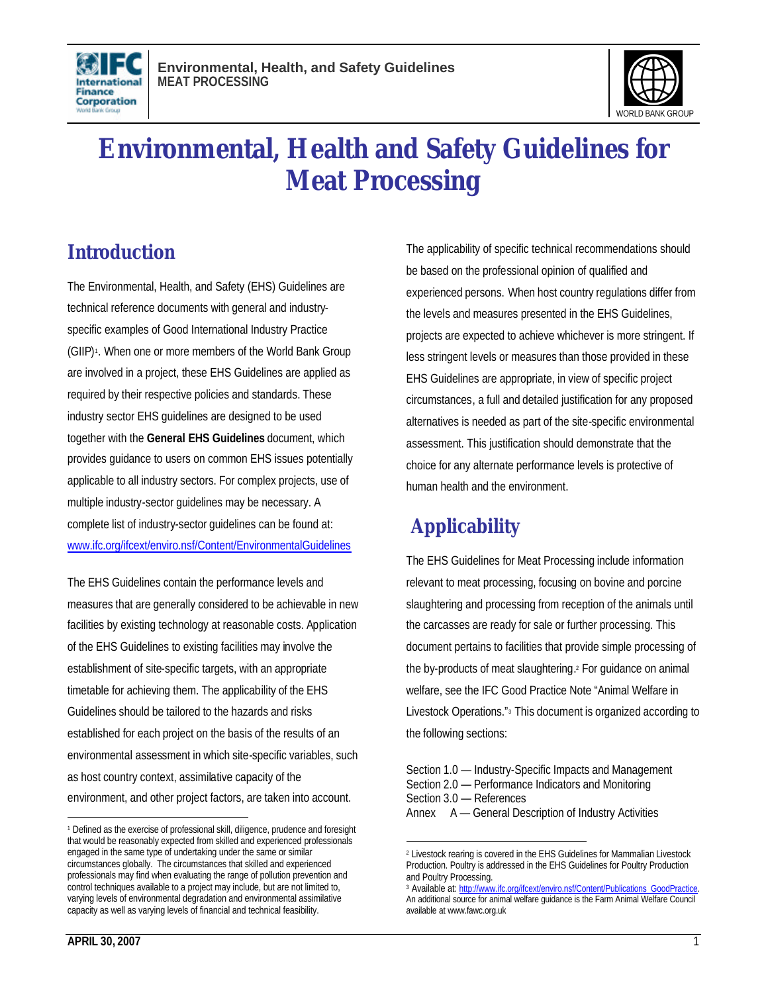



# **Environmental, Health and Safety Guidelines for Meat Processing**

### **Introduction**

The Environmental, Health, and Safety (EHS) Guidelines are technical reference documents with general and industryspecific examples of Good International Industry Practice (GIIP) 1 . When one or more members of the World Bank Group are involved in a project, these EHS Guidelines are applied as required by their respective policies and standards. These industry sector EHS guidelines are designed to be used together with the **General EHS Guidelines** document, which provides guidance to users on common EHS issues potentially applicable to all industry sectors. For complex projects, use of multiple industry-sector guidelines may be necessary. A complete list of industry-sector guidelines can be found at: www.ifc.org/ifcext/enviro.nsf/Content/EnvironmentalGuidelines

The EHS Guidelines contain the performance levels and measures that are generally considered to be achievable in new facilities by existing technology at reasonable costs. Application of the EHS Guidelines to existing facilities may involve the establishment of site-specific targets, with an appropriate timetable for achieving them. The applicability of the EHS Guidelines should be tailored to the hazards and risks established for each project on the basis of the results of an environmental assessment in which site-specific variables, such as host country context, assimilative capacity of the environment, and other project factors, are taken into account.

The applicability of specific technical recommendations should be based on the professional opinion of qualified and experienced persons. When host country regulations differ from the levels and measures presented in the EHS Guidelines, projects are expected to achieve whichever is more stringent. If less stringent levels or measures than those provided in these EHS Guidelines are appropriate, in view of specific project circumstances, a full and detailed justification for any proposed alternatives is needed as part of the site-specific environmental assessment. This justification should demonstrate that the choice for any alternate performance levels is protective of human health and the environment.

# **Applicability**

The EHS Guidelines for Meat Processing include information relevant to meat processing, focusing on bovine and porcine slaughtering and processing from reception of the animals until the carcasses are ready for sale or further processing. This document pertains to facilities that provide simple processing of the by-products of meat slaughtering. <sup>2</sup> For guidance on animal welfare, see the IFC Good Practice Note "Animal Welfare in Livestock Operations."<sup>3</sup> This document is organized according to the following sections:

l

<sup>1</sup> Defined as the exercise of professional skill, diligence, prudence and foresight that would be reasonably expected from skilled and experienced professionals engaged in the same type of undertaking under the same or similar circumstances globally. The circumstances that skilled and experienced professionals may find when evaluating the range of pollution prevention and control techniques available to a project may include, but are not limited to, varying levels of environmental degradation and environmental assimilative capacity as well as varying levels of financial and technical feasibility.

Section 1.0 — Industry-Specific Impacts and Management Section 2.0 — Performance Indicators and Monitoring Section 3.0 — References Annex A — General Description of Industry Activities

<sup>1</sup> 2 Livestock rearing is covered in the EHS Guidelines for Mammalian Livestock Production. Poultry is addressed in the EHS Guidelines for Poultry Production and Poultry Processing.

<sup>&</sup>lt;sup>3</sup> Available at: http://www.ifc.org/ifcext/enviro.nsf/Content/Publications\_GoodPractice. An additional source for animal welfare guidance is the Farm Animal Welfare Council available at www.fawc.org.uk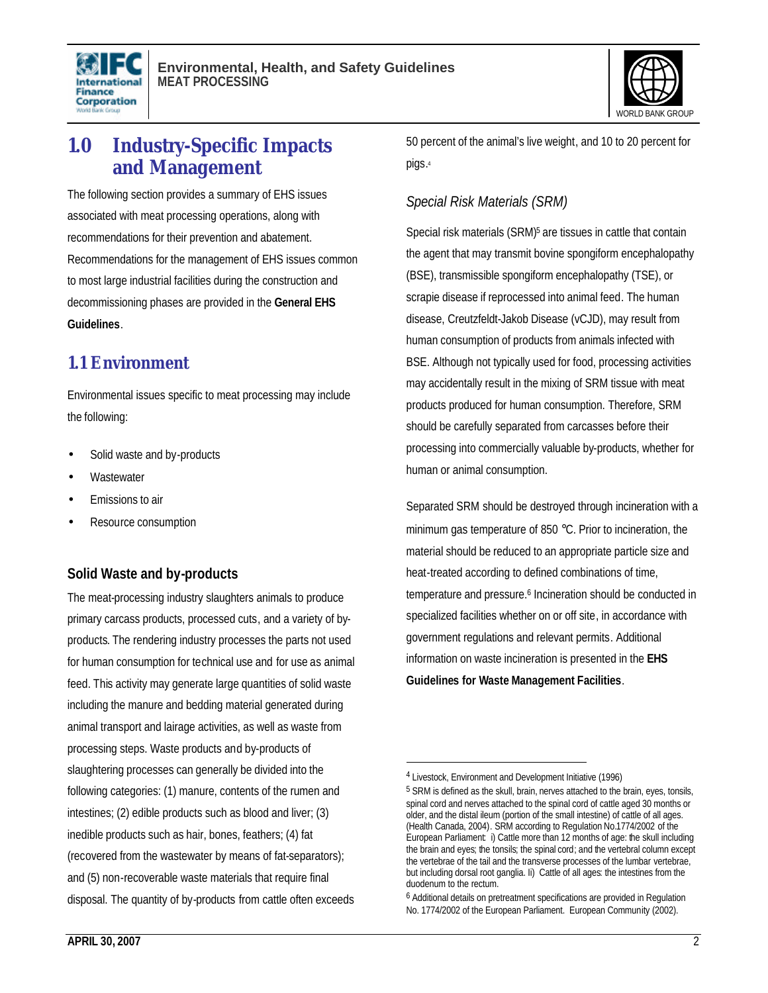



### **1.0 Industry-Specific Impacts and Management**

The following section provides a summary of EHS issues associated with meat processing operations, along with recommendations for their prevention and abatement. Recommendations for the management of EHS issues common to most large industrial facilities during the construction and decommissioning phases are provided in the **General EHS Guidelines**.

#### **1.1 Environment**

Environmental issues specific to meat processing may include the following:

- Solid waste and by-products
- **Wastewater**
- Emissions to air
- Resource consumption

#### **Solid Waste and by-products**

The meat-processing industry slaughters animals to produce primary carcass products, processed cuts, and a variety of byproducts. The rendering industry processes the parts not used for human consumption for technical use and for use as animal feed. This activity may generate large quantities of solid waste including the manure and bedding material generated during animal transport and lairage activities, as well as waste from processing steps. Waste products and by-products of slaughtering processes can generally be divided into the following categories: (1) manure, contents of the rumen and intestines; (2) edible products such as blood and liver; (3) inedible products such as hair, bones, feathers; (4) fat (recovered from the wastewater by means of fat-separators); and (5) non-recoverable waste materials that require final disposal. The quantity of by-products from cattle often exceeds 50 percent of the animal's live weight, and 10 to 20 percent for pigs. 4

#### *Special Risk Materials (SRM)*

Special risk materials (SRM)<sup>5</sup> are tissues in cattle that contain the agent that may transmit bovine spongiform encephalopathy (BSE), transmissible spongiform encephalopathy (TSE), or scrapie disease if reprocessed into animal feed. The human disease, Creutzfeldt-Jakob Disease (vCJD), may result from human consumption of products from animals infected with BSE. Although not typically used for food, processing activities may accidentally result in the mixing of SRM tissue with meat products produced for human consumption. Therefore, SRM should be carefully separated from carcasses before their processing into commercially valuable by-products, whether for human or animal consumption.

Separated SRM should be destroyed through incineration with a minimum gas temperature of 850 °C. Prior to incineration, the material should be reduced to an appropriate particle size and heat-treated according to defined combinations of time, temperature and pressure.<sup>6</sup> Incineration should be conducted in specialized facilities whether on or off site, in accordance with government regulations and relevant permits. Additional information on waste incineration is presented in the **EHS Guidelines for Waste Management Facilities**.

1

<sup>4</sup> Livestock, Environment and Development Initiative (1996)

<sup>&</sup>lt;sup>5</sup> SRM is defined as the skull, brain, nerves attached to the brain, eyes, tonsils, spinal cord and nerves attached to the spinal cord of cattle aged 30 months or older, and the distal ileum (portion of the small intestine) of cattle of all ages. (Health Canada, 2004). SRM according to Regulation No.1774/2002 of the European Parliament: i) Cattle more than 12 months of age: the skull including the brain and eyes; the tonsils; the spinal cord; and the vertebral column except the vertebrae of the tail and the transverse processes of the lumbar vertebrae, but including dorsal root ganglia. Ii) Cattle of all ages: the intestines from the duodenum to the rectum.

<sup>&</sup>lt;sup>6</sup> Additional details on pretreatment specifications are provided in Regulation No. 1774/2002 of the European Parliament. European Community (2002).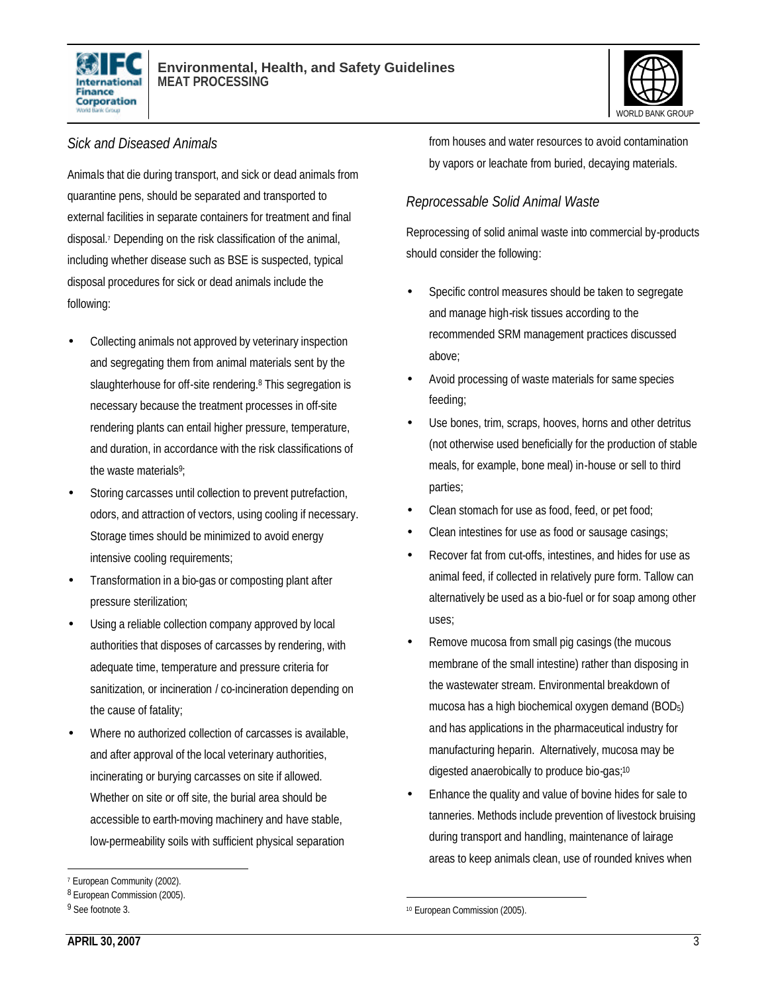



#### *Sick and Diseased Animals*

Animals that die during transport, and sick or dead animals from quarantine pens, should be separated and transported to external facilities in separate containers for treatment and final disposal.<sup>7</sup> Depending on the risk classification of the animal, including whether disease such as BSE is suspected, typical disposal procedures for sick or dead animals include the following:

- Collecting animals not approved by veterinary inspection and segregating them from animal materials sent by the slaughterhouse for off-site rendering.<sup>8</sup> This segregation is necessary because the treatment processes in off-site rendering plants can entail higher pressure, temperature, and duration, in accordance with the risk classifications of the waste materials<sup>9</sup>;
- Storing carcasses until collection to prevent putrefaction, odors, and attraction of vectors, using cooling if necessary. Storage times should be minimized to avoid energy intensive cooling requirements;
- Transformation in a bio-gas or composting plant after pressure sterilization;
- Using a reliable collection company approved by local authorities that disposes of carcasses by rendering, with adequate time, temperature and pressure criteria for sanitization, or incineration / co-incineration depending on the cause of fatality;
- Where no authorized collection of carcasses is available, and after approval of the local veterinary authorities, incinerating or burying carcasses on site if allowed. Whether on site or off site, the burial area should be accessible to earth-moving machinery and have stable, low-permeability soils with sufficient physical separation

l

from houses and water resources to avoid contamination by vapors or leachate from buried, decaying materials.

#### *Reprocessable Solid Animal Waste*

Reprocessing of solid animal waste into commercial by-products should consider the following:

- Specific control measures should be taken to segregate and manage high-risk tissues according to the recommended SRM management practices discussed above;
- Avoid processing of waste materials for same species feeding;
- Use bones, trim, scraps, hooves, horns and other detritus (not otherwise used beneficially for the production of stable meals, for example, bone meal) in-house or sell to third parties;
- Clean stomach for use as food, feed, or pet food;
- Clean intestines for use as food or sausage casings;
- Recover fat from cut-offs, intestines, and hides for use as animal feed, if collected in relatively pure form. Tallow can alternatively be used as a bio-fuel or for soap among other uses;
- Remove mucosa from small pig casings (the mucous membrane of the small intestine) rather than disposing in the wastewater stream. Environmental breakdown of mucosa has a high biochemical oxygen demand (BOD5) and has applications in the pharmaceutical industry for manufacturing heparin. Alternatively, mucosa may be digested anaerobically to produce bio-gas;<sup>10</sup>
- Enhance the quality and value of bovine hides for sale to tanneries. Methods include prevention of livestock bruising during transport and handling, maintenance of lairage areas to keep animals clean, use of rounded knives when

<sup>7</sup> European Community (2002).

<sup>8</sup> European Commission (2005).

<sup>&</sup>lt;sup>9</sup> See footnote 3.

<sup>1</sup> 10 European Commission (2005).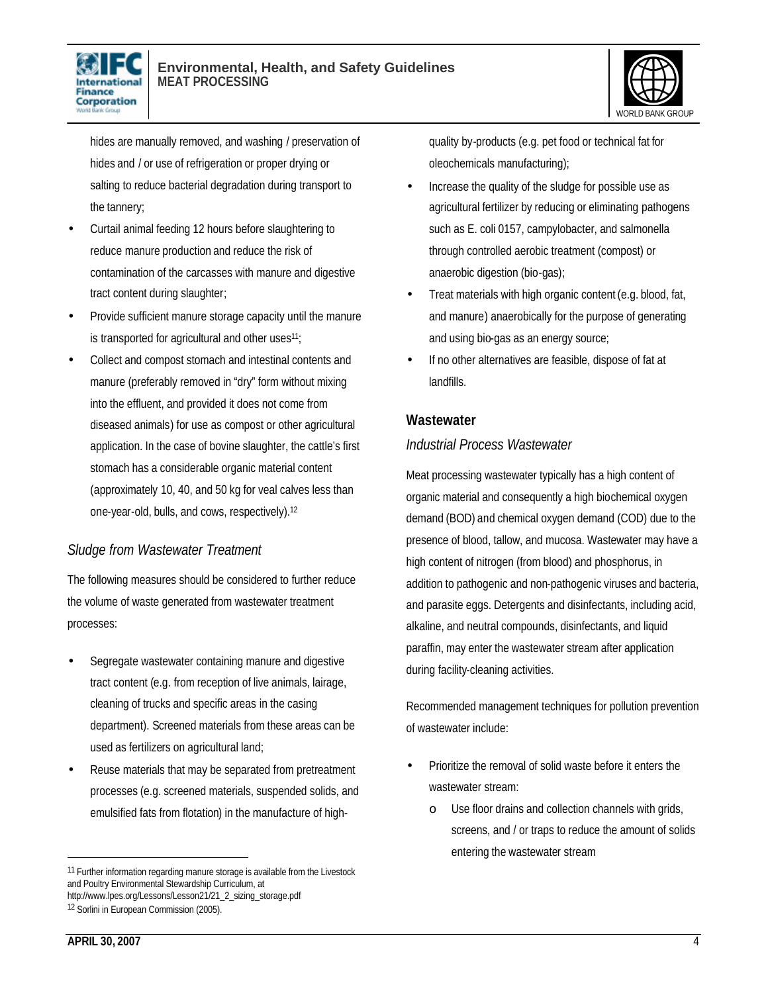



hides are manually removed, and washing / preservation of hides and / or use of refrigeration or proper drying or salting to reduce bacterial degradation during transport to the tannery;

- Curtail animal feeding 12 hours before slaughtering to reduce manure production and reduce the risk of contamination of the carcasses with manure and digestive tract content during slaughter;
- Provide sufficient manure storage capacity until the manure is transported for agricultural and other uses<sup>11</sup>;
- Collect and compost stomach and intestinal contents and manure (preferably removed in "dry" form without mixing into the effluent, and provided it does not come from diseased animals) for use as compost or other agricultural application. In the case of bovine slaughter, the cattle's first stomach has a considerable organic material content (approximately 10, 40, and 50 kg for veal calves less than one-year-old, bulls, and cows, respectively).<sup>12</sup>

#### *Sludge from Wastewater Treatment*

The following measures should be considered to further reduce the volume of waste generated from wastewater treatment processes:

- Segregate wastewater containing manure and digestive tract content (e.g. from reception of live animals, lairage, cleaning of trucks and specific areas in the casing department). Screened materials from these areas can be used as fertilizers on agricultural land;
- Reuse materials that may be separated from pretreatment processes (e.g. screened materials, suspended solids, and emulsified fats from flotation) in the manufacture of high-

quality by-products (e.g. pet food or technical fat for oleochemicals manufacturing);

- Increase the quality of the sludge for possible use as agricultural fertilizer by reducing or eliminating pathogens such as E. coli 0157, campylobacter, and salmonella through controlled aerobic treatment (compost) or anaerobic digestion (bio-gas);
- Treat materials with high organic content (e.g. blood, fat, and manure) anaerobically for the purpose of generating and using bio-gas as an energy source;
- If no other alternatives are feasible, dispose of fat at landfills.

#### **Wastewater**

#### *Industrial Process Wastewater*

Meat processing wastewater typically has a high content of organic material and consequently a high biochemical oxygen demand (BOD) and chemical oxygen demand (COD) due to the presence of blood, tallow, and mucosa. Wastewater may have a high content of nitrogen (from blood) and phosphorus, in addition to pathogenic and non-pathogenic viruses and bacteria, and parasite eggs. Detergents and disinfectants, including acid, alkaline, and neutral compounds, disinfectants, and liquid paraffin, may enter the wastewater stream after application during facility-cleaning activities.

Recommended management techniques for pollution prevention of wastewater include:

- Prioritize the removal of solid waste before it enters the wastewater stream:
	- o Use floor drains and collection channels with grids, screens, and / or traps to reduce the amount of solids entering the wastewater stream

<sup>11</sup> Further information regarding manure storage is available from the Livestock and Poultry Environmental Stewardship Curriculum, at http://www.lpes.org/Lessons/Lesson21/21\_2\_sizing\_storage.pdf

<sup>12</sup> Sorlini in European Commission (2005).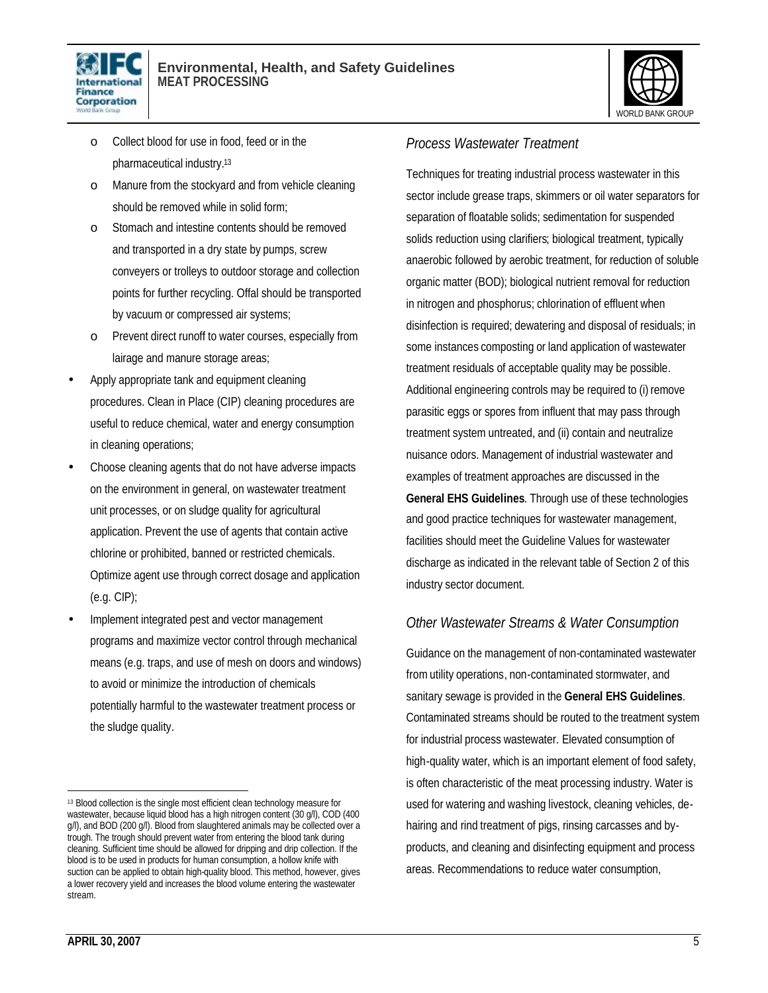



- o Collect blood for use in food, feed or in the pharmaceutical industry.<sup>13</sup>
- o Manure from the stockyard and from vehicle cleaning should be removed while in solid form;
- o Stomach and intestine contents should be removed and transported in a dry state by pumps, screw conveyers or trolleys to outdoor storage and collection points for further recycling. Offal should be transported by vacuum or compressed air systems;
- o Prevent direct runoff to water courses, especially from lairage and manure storage areas;
- Apply appropriate tank and equipment cleaning procedures. Clean in Place (CIP) cleaning procedures are useful to reduce chemical, water and energy consumption in cleaning operations;
- Choose cleaning agents that do not have adverse impacts on the environment in general, on wastewater treatment unit processes, or on sludge quality for agricultural application. Prevent the use of agents that contain active chlorine or prohibited, banned or restricted chemicals. Optimize agent use through correct dosage and application (e.g. CIP);
- Implement integrated pest and vector management programs and maximize vector control through mechanical means (e.g. traps, and use of mesh on doors and windows) to avoid or minimize the introduction of chemicals potentially harmful to the wastewater treatment process or the sludge quality.

#### *Process Wastewater Treatment*

Techniques for treating industrial process wastewater in this sector include grease traps, skimmers or oil water separators for separation of floatable solids; sedimentation for suspended solids reduction using clarifiers; biological treatment, typically anaerobic followed by aerobic treatment, for reduction of soluble organic matter (BOD); biological nutrient removal for reduction in nitrogen and phosphorus; chlorination of effluent when disinfection is required; dewatering and disposal of residuals; in some instances composting or land application of wastewater treatment residuals of acceptable quality may be possible. Additional engineering controls may be required to (i) remove parasitic eggs or spores from influent that may pass through treatment system untreated, and (ii) contain and neutralize nuisance odors. Management of industrial wastewater and examples of treatment approaches are discussed in the **General EHS Guidelines**. Through use of these technologies and good practice techniques for wastewater management, facilities should meet the Guideline Values for wastewater discharge as indicated in the relevant table of Section 2 of this industry sector document.

#### *Other Wastewater Streams & Water Consumption*

Guidance on the management of non-contaminated wastewater from utility operations, non-contaminated stormwater, and sanitary sewage is provided in the **General EHS Guidelines**. Contaminated streams should be routed to the treatment system for industrial process wastewater. Elevated consumption of high-quality water, which is an important element of food safety, is often characteristic of the meat processing industry. Water is used for watering and washing livestock, cleaning vehicles, dehairing and rind treatment of pigs, rinsing carcasses and byproducts, and cleaning and disinfecting equipment and process areas. Recommendations to reduce water consumption,

<sup>13</sup> Blood collection is the single most efficient clean technology measure for wastewater, because liquid blood has a high nitrogen content (30 g/l), COD (400 g/l), and BOD (200 g/l). Blood from slaughtered animals may be collected over a trough. The trough should prevent water from entering the blood tank during cleaning. Sufficient time should be allowed for dripping and drip collection. If the blood is to be used in products for human consumption, a hollow knife with suction can be applied to obtain high-quality blood. This method, however, gives a lower recovery yield and increases the blood volume entering the wastewater stream.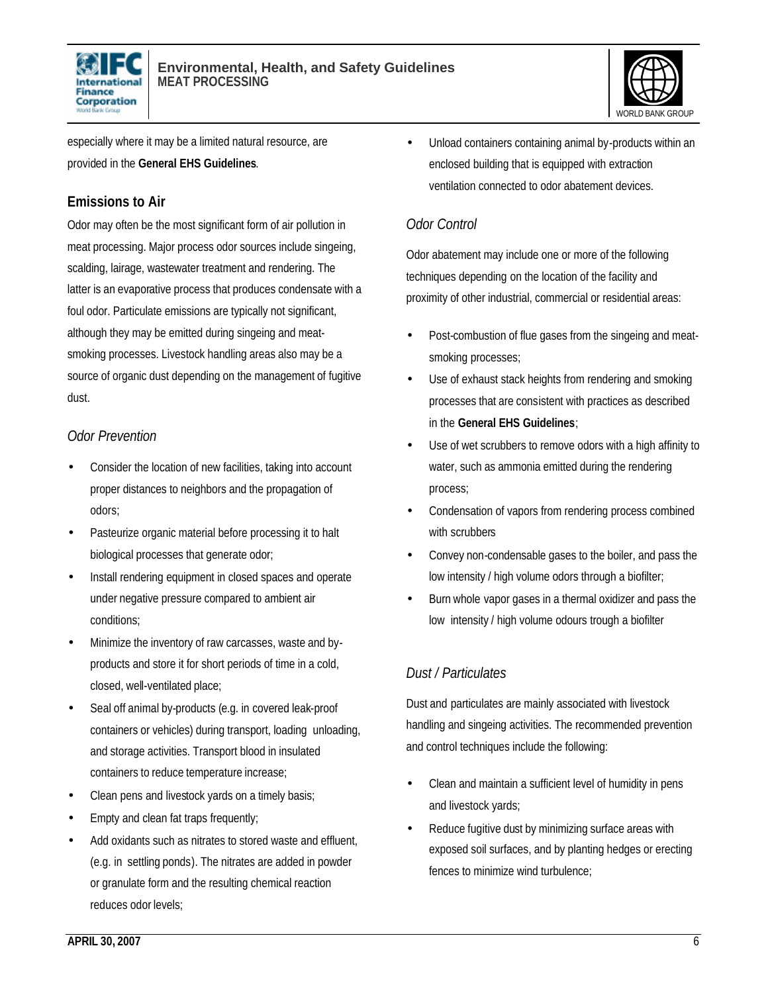



especially where it may be a limited natural resource, are provided in the **General EHS Guidelines**.

#### **Emissions to Air**

Odor may often be the most significant form of air pollution in meat processing. Major process odor sources include singeing, scalding, lairage, wastewater treatment and rendering. The latter is an evaporative process that produces condensate with a foul odor. Particulate emissions are typically not significant, although they may be emitted during singeing and meatsmoking processes. Livestock handling areas also may be a source of organic dust depending on the management of fugitive dust.

#### *Odor Prevention*

- Consider the location of new facilities, taking into account proper distances to neighbors and the propagation of odors;
- Pasteurize organic material before processing it to halt biological processes that generate odor;
- Install rendering equipment in closed spaces and operate under negative pressure compared to ambient air conditions;
- Minimize the inventory of raw carcasses, waste and byproducts and store it for short periods of time in a cold, closed, well-ventilated place;
- Seal off animal by-products (e.g. in covered leak-proof containers or vehicles) during transport, loading unloading, and storage activities. Transport blood in insulated containers to reduce temperature increase;
- Clean pens and livestock yards on a timely basis;
- Empty and clean fat traps frequently;
- Add oxidants such as nitrates to stored waste and effluent, (e.g. in settling ponds). The nitrates are added in powder or granulate form and the resulting chemical reaction reduces odor levels;

• Unload containers containing animal by-products within an enclosed building that is equipped with extraction ventilation connected to odor abatement devices.

#### *Odor Control*

Odor abatement may include one or more of the following techniques depending on the location of the facility and proximity of other industrial, commercial or residential areas:

- Post-combustion of flue gases from the singeing and meatsmoking processes;
- Use of exhaust stack heights from rendering and smoking processes that are consistent with practices as described in the **General EHS Guidelines**;
- Use of wet scrubbers to remove odors with a high affinity to water, such as ammonia emitted during the rendering process;
- Condensation of vapors from rendering process combined with scrubbers
- Convey non-condensable gases to the boiler, and pass the low intensity / high volume odors through a biofilter;
- Burn whole vapor gases in a thermal oxidizer and pass the low intensity / high volume odours trough a biofilter

#### *Dust / Particulates*

Dust and particulates are mainly associated with livestock handling and singeing activities. The recommended prevention and control techniques include the following:

- Clean and maintain a sufficient level of humidity in pens and livestock yards;
- Reduce fugitive dust by minimizing surface areas with exposed soil surfaces, and by planting hedges or erecting fences to minimize wind turbulence;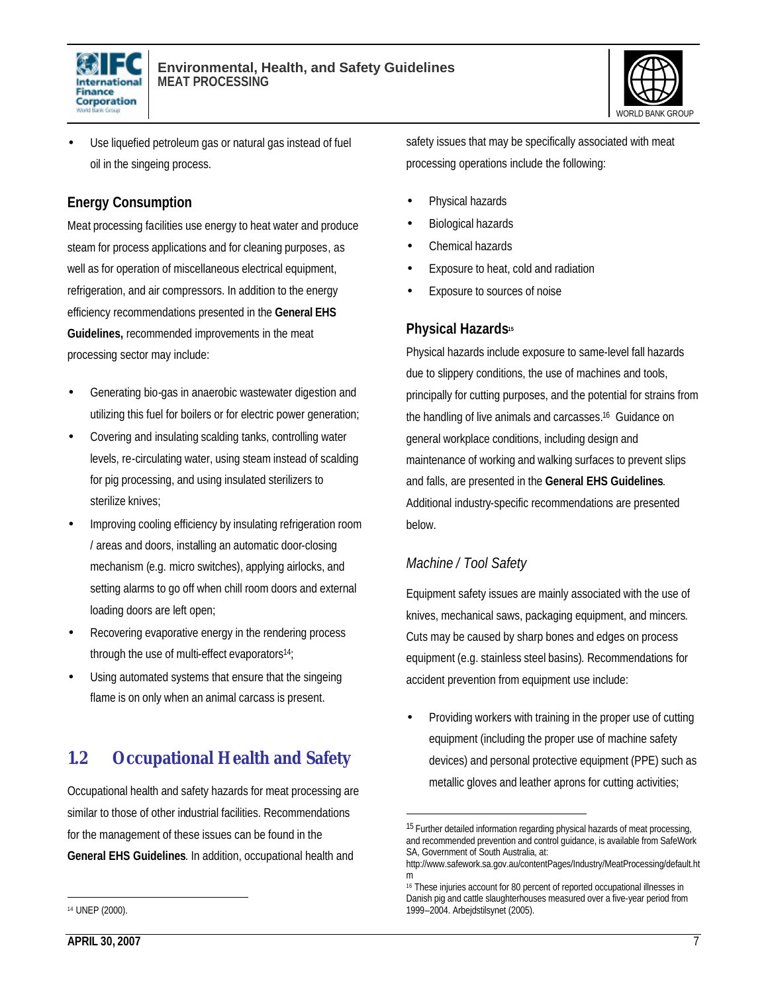



Use liquefied petroleum gas or natural gas instead of fuel oil in the singeing process.

#### **Energy Consumption**

Meat processing facilities use energy to heat water and produce steam for process applications and for cleaning purposes, as well as for operation of miscellaneous electrical equipment, refrigeration, and air compressors. In addition to the energy efficiency recommendations presented in the **General EHS Guidelines,** recommended improvements in the meat processing sector may include:

- Generating bio-gas in anaerobic wastewater digestion and utilizing this fuel for boilers or for electric power generation;
- Covering and insulating scalding tanks, controlling water levels, re-circulating water, using steam instead of scalding for pig processing, and using insulated sterilizers to sterilize knives;
- Improving cooling efficiency by insulating refrigeration room / areas and doors, installing an automatic door-closing mechanism (e.g. micro switches), applying airlocks, and setting alarms to go off when chill room doors and external loading doors are left open;
- Recovering evaporative energy in the rendering process through the use of multi-effect evaporators14;
- Using automated systems that ensure that the singeing flame is on only when an animal carcass is present.

### **1.2 Occupational Health and Safety**

Occupational health and safety hazards for meat processing are similar to those of other industrial facilities. Recommendations for the management of these issues can be found in the **General EHS Guidelines**. In addition, occupational health and

safety issues that may be specifically associated with meat processing operations include the following:

- Physical hazards
- Biological hazards
- Chemical hazards
- Exposure to heat, cold and radiation
- Exposure to sources of noise

#### **Physical Hazards<sup>15</sup>**

Physical hazards include exposure to same-level fall hazards due to slippery conditions, the use of machines and tools, principally for cutting purposes, and the potential for strains from the handling of live animals and carcasses.16 Guidance on general workplace conditions, including design and maintenance of working and walking surfaces to prevent slips and falls, are presented in the **General EHS Guidelines**. Additional industry-specific recommendations are presented below.

#### *Machine / Tool Safety*

1

Equipment safety issues are mainly associated with the use of knives, mechanical saws, packaging equipment, and mincers. Cuts may be caused by sharp bones and edges on process equipment (e.g. stainless steel basins). Recommendations for accident prevention from equipment use include:

• Providing workers with training in the proper use of cutting equipment (including the proper use of machine safety devices) and personal protective equipment (PPE) such as metallic gloves and leather aprons for cutting activities;

<sup>15</sup> Further detailed information regarding physical hazards of meat processing, and recommended prevention and control guidance, is available from SafeWork SA, Government of South Australia, at:

http://www.safework.sa.gov.au/contentPages/Industry/MeatProcessing/default.ht m

<sup>16</sup> These injuries account for 80 percent of reported occupational illnesses in Danish pig and cattle slaughterhouses measured over a five-year period from 1999–2004. Arbejdstilsynet (2005).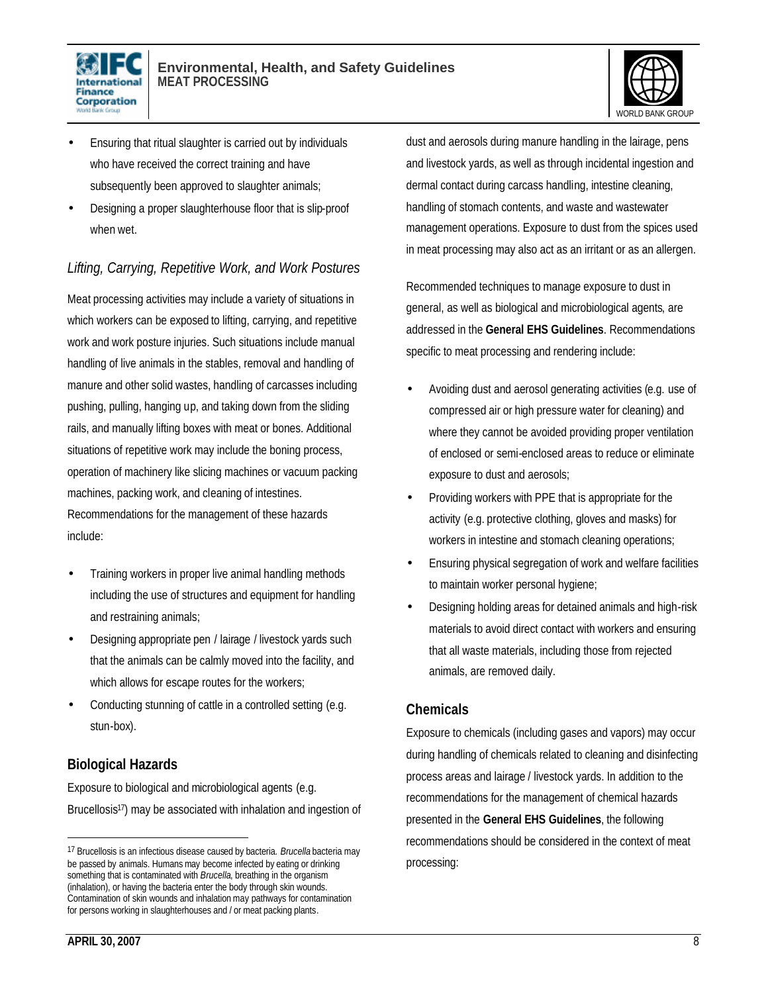



- Ensuring that ritual slaughter is carried out by individuals who have received the correct training and have subsequently been approved to slaughter animals;
- Designing a proper slaughterhouse floor that is slip-proof when wet.

#### *Lifting, Carrying, Repetitive Work, and Work Postures*

Meat processing activities may include a variety of situations in which workers can be exposed to lifting, carrying, and repetitive work and work posture injuries. Such situations include manual handling of live animals in the stables, removal and handling of manure and other solid wastes, handling of carcasses including pushing, pulling, hanging up, and taking down from the sliding rails, and manually lifting boxes with meat or bones. Additional situations of repetitive work may include the boning process, operation of machinery like slicing machines or vacuum packing machines, packing work, and cleaning of intestines. Recommendations for the management of these hazards include:

- Training workers in proper live animal handling methods including the use of structures and equipment for handling and restraining animals;
- Designing appropriate pen / lairage / livestock yards such that the animals can be calmly moved into the facility, and which allows for escape routes for the workers;
- Conducting stunning of cattle in a controlled setting (e.g. stun-box).

#### **Biological Hazards**

Exposure to biological and microbiological agents (e.g. Brucellosis<sup>17</sup>) may be associated with inhalation and ingestion of dust and aerosols during manure handling in the lairage, pens and livestock yards, as well as through incidental ingestion and dermal contact during carcass handling, intestine cleaning, handling of stomach contents, and waste and wastewater management operations. Exposure to dust from the spices used in meat processing may also act as an irritant or as an allergen.

Recommended techniques to manage exposure to dust in general, as well as biological and microbiological agents, are addressed in the **General EHS Guidelines**. Recommendations specific to meat processing and rendering include:

- Avoiding dust and aerosol generating activities (e.g. use of compressed air or high pressure water for cleaning) and where they cannot be avoided providing proper ventilation of enclosed or semi-enclosed areas to reduce or eliminate exposure to dust and aerosols;
- Providing workers with PPE that is appropriate for the activity (e.g. protective clothing, gloves and masks) for workers in intestine and stomach cleaning operations;
- Ensuring physical segregation of work and welfare facilities to maintain worker personal hygiene;
- Designing holding areas for detained animals and high-risk materials to avoid direct contact with workers and ensuring that all waste materials, including those from rejected animals, are removed daily.

#### **Chemicals**

Exposure to chemicals (including gases and vapors) may occur during handling of chemicals related to cleaning and disinfecting process areas and lairage / livestock yards. In addition to the recommendations for the management of chemical hazards presented in the **General EHS Guidelines**, the following recommendations should be considered in the context of meat processing:

<sup>17</sup> Brucellosis is an infectious disease caused by bacteria. *Brucella* bacteria may be passed by animals. Humans may become infected by eating or drinking something that is contaminated with **Brucella**, breathing in the organism (inhalation), or having the bacteria enter the body through skin wounds. Contamination of skin wounds and inhalation may pathways for contamination for persons working in slaughterhouses and / or meat packing plants.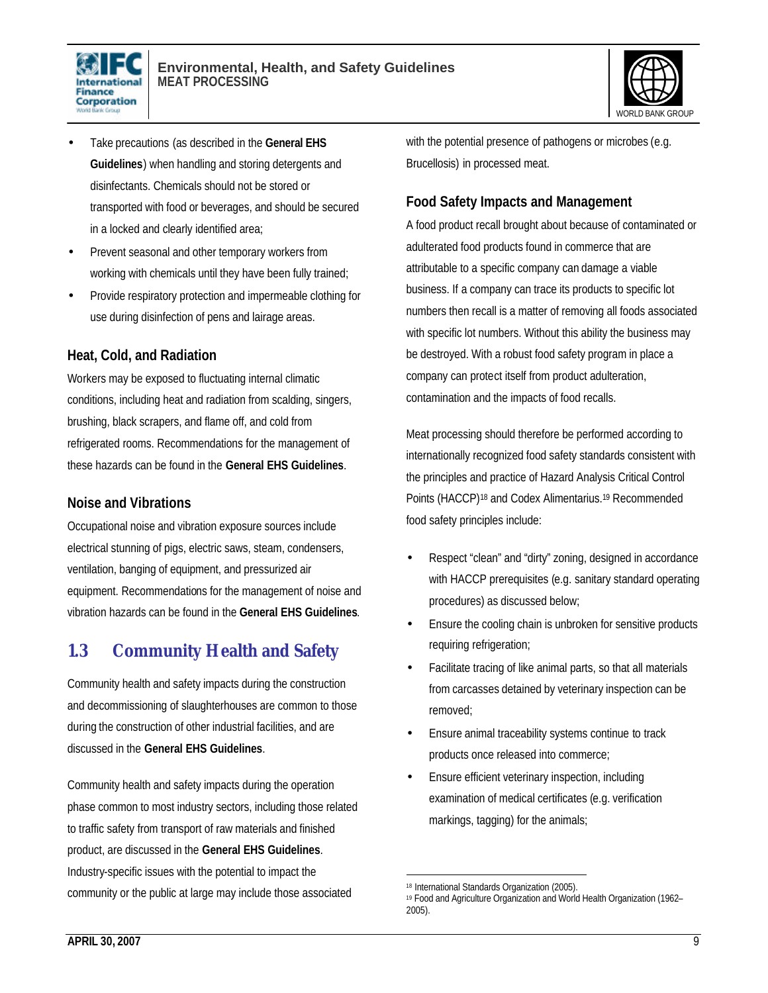



- Take precautions (as described in the **General EHS Guidelines**) when handling and storing detergents and disinfectants. Chemicals should not be stored or transported with food or beverages, and should be secured in a locked and clearly identified area;
- Prevent seasonal and other temporary workers from working with chemicals until they have been fully trained;
- Provide respiratory protection and impermeable clothing for use during disinfection of pens and lairage areas.

#### **Heat, Cold, and Radiation**

Workers may be exposed to fluctuating internal climatic conditions, including heat and radiation from scalding, singers, brushing, black scrapers, and flame off, and cold from refrigerated rooms. Recommendations for the management of these hazards can be found in the **General EHS Guidelines**.

#### **Noise and Vibrations**

Occupational noise and vibration exposure sources include electrical stunning of pigs, electric saws, steam, condensers, ventilation, banging of equipment, and pressurized air equipment. Recommendations for the management of noise and vibration hazards can be found in the **General EHS Guidelines**.

### **1.3 Community Health and Safety**

Community health and safety impacts during the construction and decommissioning of slaughterhouses are common to those during the construction of other industrial facilities, and are discussed in the **General EHS Guidelines**.

Community health and safety impacts during the operation phase common to most industry sectors, including those related to traffic safety from transport of raw materials and finished product, are discussed in the **General EHS Guidelines**. Industry-specific issues with the potential to impact the community or the public at large may include those associated

with the potential presence of pathogens or microbes (e.g. Brucellosis) in processed meat.

#### **Food Safety Impacts and Management**

A food product recall brought about because of contaminated or adulterated food products found in commerce that are attributable to a specific company can damage a viable business. If a company can trace its products to specific lot numbers then recall is a matter of removing all foods associated with specific lot numbers. Without this ability the business may be destroyed. With a robust food safety program in place a company can protect itself from product adulteration, contamination and the impacts of food recalls.

Meat processing should therefore be performed according to internationally recognized food safety standards consistent with the principles and practice of Hazard Analysis Critical Control Points (HACCP)18 and Codex Alimentarius.<sup>19</sup> Recommended food safety principles include:

- Respect "clean" and "dirty" zoning, designed in accordance with HACCP prerequisites (e.g. sanitary standard operating procedures) as discussed below;
- Ensure the cooling chain is unbroken for sensitive products requiring refrigeration;
- Facilitate tracing of like animal parts, so that all materials from carcasses detained by veterinary inspection can be removed;
- Ensure animal traceability systems continue to track products once released into commerce;
- Ensure efficient veterinary inspection, including examination of medical certificates (e.g. verification markings, tagging) for the animals;

1

<sup>18</sup> International Standards Organization (2005).

<sup>19</sup> Food and Agriculture Organization and World Health Organization (1962– 2005).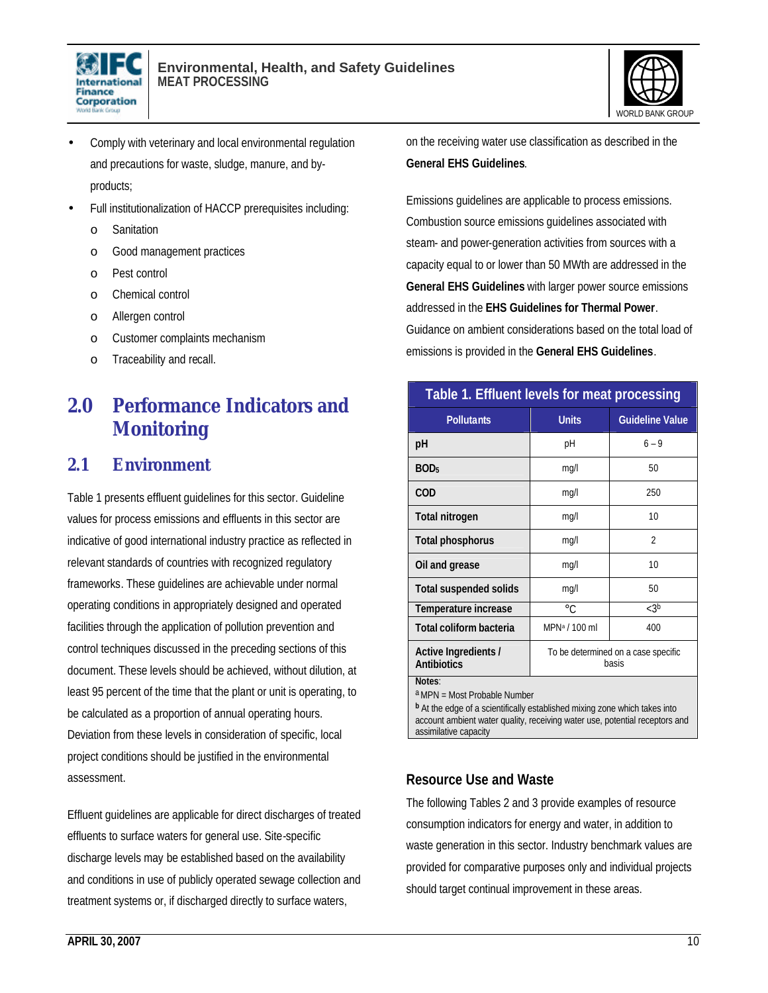



- Comply with veterinary and local environmental regulation and precautions for waste, sludge, manure, and byproducts;
- Full institutionalization of HACCP prerequisites including:
	- o Sanitation
	- o Good management practices
	- o Pest control
	- o Chemical control
	- o Allergen control
	- o Customer complaints mechanism
	- o Traceability and recall.

### **2.0 Performance Indicators and Monitoring**

#### **2.1 Environment**

Table 1 presents effluent guidelines for this sector. Guideline values for process emissions and effluents in this sector are indicative of good international industry practice as reflected in relevant standards of countries with recognized regulatory frameworks. These guidelines are achievable under normal operating conditions in appropriately designed and operated facilities through the application of pollution prevention and control techniques discussed in the preceding sections of this document. These levels should be achieved, without dilution, at least 95 percent of the time that the plant or unit is operating, to be calculated as a proportion of annual operating hours. Deviation from these levels in consideration of specific, local project conditions should be justified in the environmental assessment.

Effluent guidelines are applicable for direct discharges of treated effluents to surface waters for general use. Site-specific discharge levels may be established based on the availability and conditions in use of publicly operated sewage collection and treatment systems or, if discharged directly to surface waters,

on the receiving water use classification as described in the **General EHS Guidelines**.

Emissions guidelines are applicable to process emissions. Combustion source emissions guidelines associated with steam- and power-generation activities from sources with a capacity equal to or lower than 50 MWth are addressed in the **General EHS Guidelines** with larger power source emissions addressed in the **EHS Guidelines for Thermal Power**. Guidance on ambient considerations based on the total load of emissions is provided in the **General EHS Guidelines**.

| Table 1. Effluent levels for meat processing |                                              |                        |  |
|----------------------------------------------|----------------------------------------------|------------------------|--|
| <b>Pollutants</b>                            | <b>Units</b>                                 | <b>Guideline Value</b> |  |
| рH                                           | рH                                           | $6 - 9$                |  |
| BOD <sub>5</sub>                             | mg/l                                         | 50                     |  |
| COD                                          | mg/l                                         | 250                    |  |
| <b>Total nitrogen</b>                        | mg/l                                         | 10                     |  |
| <b>Total phosphorus</b>                      | mg/l                                         | $\overline{2}$         |  |
| Oil and grease                               | mg/l                                         | 10                     |  |
| <b>Total suspended solids</b>                | mq/l                                         | 50                     |  |
| Temperature increase                         | $^{\circ}C$                                  | < 3 <sup>b</sup>       |  |
| Total coliform bacteria                      | MPN <sup>a</sup> / 100 ml                    | 400                    |  |
| Active Ingredients /<br><b>Antibiotics</b>   | To be determined on a case specific<br>basis |                        |  |
| Notes:                                       |                                              |                        |  |

a MPN = Most Probable Number

**b** At the edge of a scientifically established mixing zone which takes into account ambient water quality, receiving water use, potential receptors and assimilative capacity

#### **Resource Use and Waste**

The following Tables 2 and 3 provide examples of resource consumption indicators for energy and water, in addition to waste generation in this sector. Industry benchmark values are provided for comparative purposes only and individual projects should target continual improvement in these areas.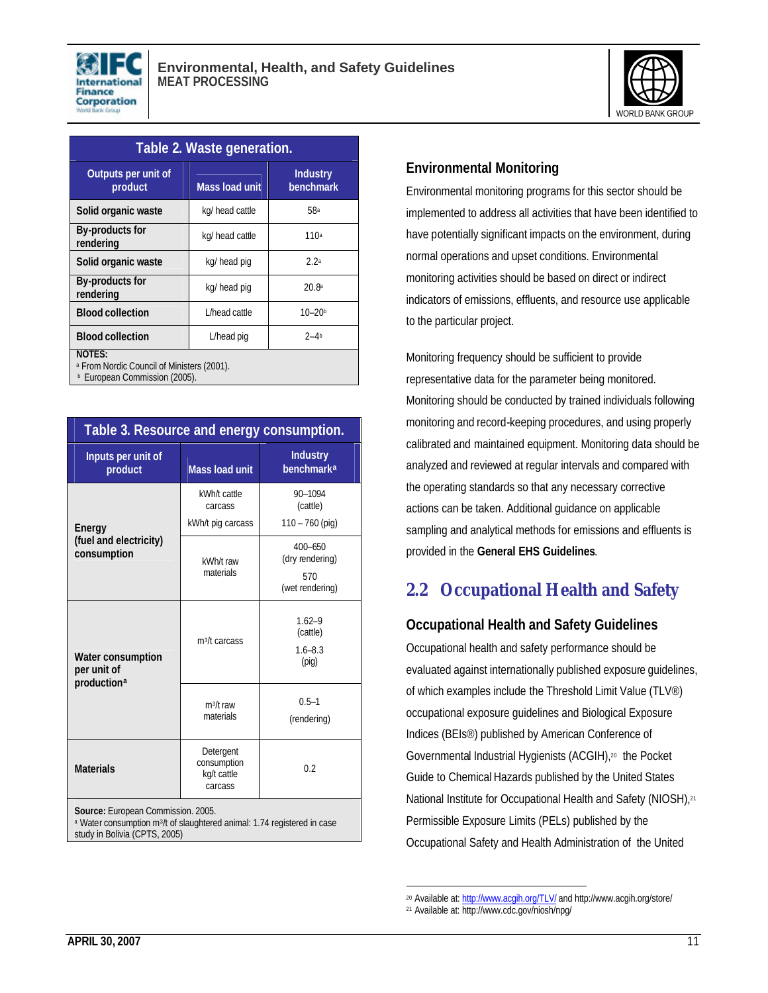



| Table 2. Waste generation.                                                                              |                       |                              |  |
|---------------------------------------------------------------------------------------------------------|-----------------------|------------------------------|--|
| Outputs per unit of<br>product                                                                          | <b>Mass load unit</b> | <b>Industry</b><br>benchmark |  |
| Solid organic waste                                                                                     | kg/ head cattle       | 58ª                          |  |
| By-products for<br>rendering                                                                            | kg/ head cattle       | 110a                         |  |
| Solid organic waste                                                                                     | kg/ head pig          | 2.2a                         |  |
| By-products for<br>rendering                                                                            | kg/ head pig          | 20.8 <sup>a</sup>            |  |
| <b>Blood collection</b>                                                                                 | L/head cattle         | $10 - 20b$                   |  |
| <b>Blood collection</b>                                                                                 | L/head pig            | $2 - 4b$                     |  |
| NOTES:<br><sup>a</sup> From Nordic Council of Ministers (2001).<br><b>b</b> European Commission (2005). |                       |                              |  |

| Table 3. Resource and energy consumption.                                                                                                                   |                                                    |                                                          |  |
|-------------------------------------------------------------------------------------------------------------------------------------------------------------|----------------------------------------------------|----------------------------------------------------------|--|
| Inputs per unit of<br>product                                                                                                                               | <b>Mass load unit</b>                              | <b>Industry</b><br><b>benchmarka</b>                     |  |
| Energy<br>(fuel and electricity)<br>consumption                                                                                                             | kWh/t cattle<br>carcass<br>kWh/t pig carcass       | 90-1094<br>(cattle)<br>$110 - 760$ (pig)                 |  |
|                                                                                                                                                             | kWh/t raw<br>materials                             | $400 - 650$<br>(dry rendering)<br>570<br>(wet rendering) |  |
| <b>Water consumption</b><br>per unit of<br>production <sup>a</sup>                                                                                          | m <sup>3</sup> /t carcass                          | $1.62 - 9$<br>(cattle)<br>$1.6 - 8.3$<br>(piq)           |  |
|                                                                                                                                                             | $m^3/t$ raw<br>materials                           | $0.5 - 1$<br>(rendering)                                 |  |
| <b>Materials</b>                                                                                                                                            | Detergent<br>consumption<br>kg/t cattle<br>carcass | 0 <sub>2</sub>                                           |  |
| Source: European Commission. 2005.<br>a Water consumption m <sup>3</sup> /t of slaughtered animal: 1.74 registered in case<br>study in Bolivia (CPTS, 2005) |                                                    |                                                          |  |

#### **Environmental Monitoring**

Environmental monitoring programs for this sector should be implemented to address all activities that have been identified to have potentially significant impacts on the environment, during normal operations and upset conditions. Environmental monitoring activities should be based on direct or indirect indicators of emissions, effluents, and resource use applicable to the particular project.

Monitoring frequency should be sufficient to provide representative data for the parameter being monitored. Monitoring should be conducted by trained individuals following monitoring and record-keeping procedures, and using properly calibrated and maintained equipment. Monitoring data should be analyzed and reviewed at regular intervals and compared with the operating standards so that any necessary corrective actions can be taken. Additional guidance on applicable sampling and analytical methods for emissions and effluents is provided in the **General EHS Guidelines**.

### **2.2 Occupational Health and Safety**

#### **Occupational Health and Safety Guidelines**

Occupational health and safety performance should be evaluated against internationally published exposure guidelines, of which examples include the Threshold Limit Value (TLV®) occupational exposure guidelines and Biological Exposure Indices (BEIs®) published by American Conference of Governmental Industrial Hygienists (ACGIH),20 the Pocket Guide to Chemical Hazards published by the United States National Institute for Occupational Health and Safety (NIOSH),<sup>21</sup> Permissible Exposure Limits (PELs) published by the Occupational Safety and Health Administration of the United

<sup>&</sup>lt;sup>20</sup> Available at: http://www.acgih.org/TLV/ and http://www.acgih.org/store/

<sup>21</sup> Available at: http://www.cdc.gov/niosh/npg/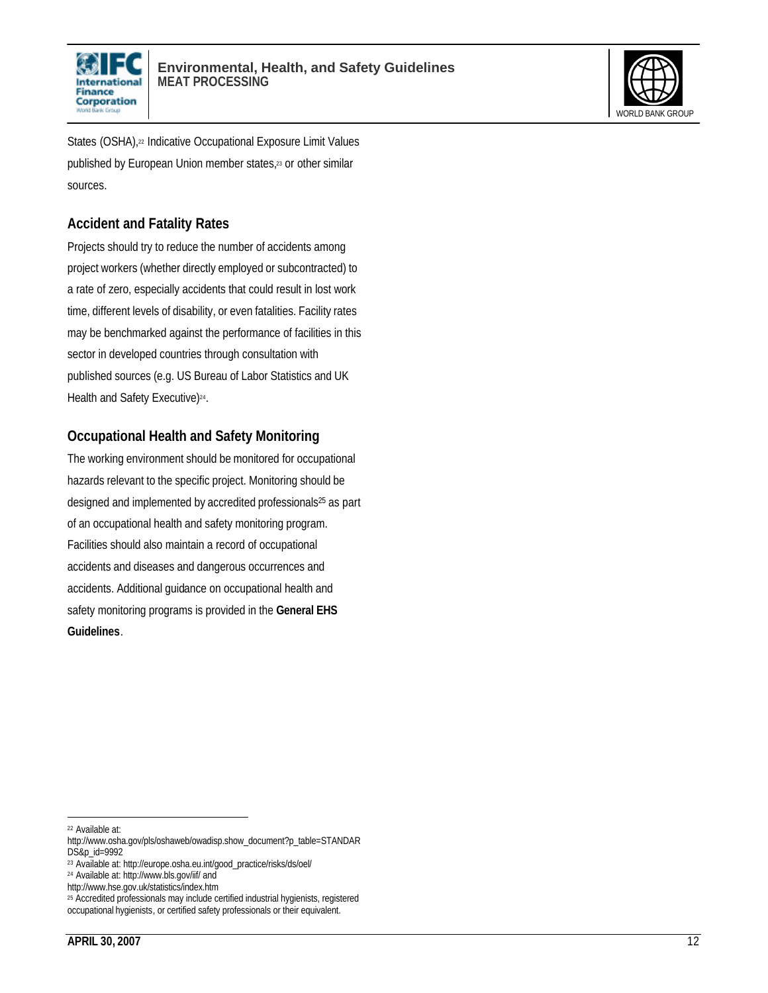



States (OSHA),<sup>22</sup> Indicative Occupational Exposure Limit Values published by European Union member states,<sup>23</sup> or other similar sources.

#### **Accident and Fatality Rates**

Projects should try to reduce the number of accidents among project workers (whether directly employed or subcontracted) to a rate of zero, especially accidents that could result in lost work time, different levels of disability, or even fatalities. Facility rates may be benchmarked against the performance of facilities in this sector in developed countries through consultation with published sources (e.g. US Bureau of Labor Statistics and UK Health and Safety Executive)<sup>24</sup>.

#### **Occupational Health and Safety Monitoring**

The working environment should be monitored for occupational hazards relevant to the specific project. Monitoring should be designed and implemented by accredited professionals<sup>25</sup> as part of an occupational health and safety monitoring program. Facilities should also maintain a record of occupational accidents and diseases and dangerous occurrences and accidents. Additional guidance on occupational health and safety monitoring programs is provided in the **General EHS Guidelines**.

l

<sup>22</sup> Available at:

http://www.osha.gov/pls/oshaweb/owadisp.show\_document?p\_table=STANDAR DS&p\_id=9992

<sup>23</sup> Available at: http://europe.osha.eu.int/good\_practice/risks/ds/oel/

<sup>24</sup> Available at: http://www.bls.gov/iif/ and

http://www.hse.gov.uk/statistics/index.htm

<sup>&</sup>lt;sup>25</sup> Accredited professionals may include certified industrial hygienists, registered occupational hygienists, or certified safety professionals or their equivalent.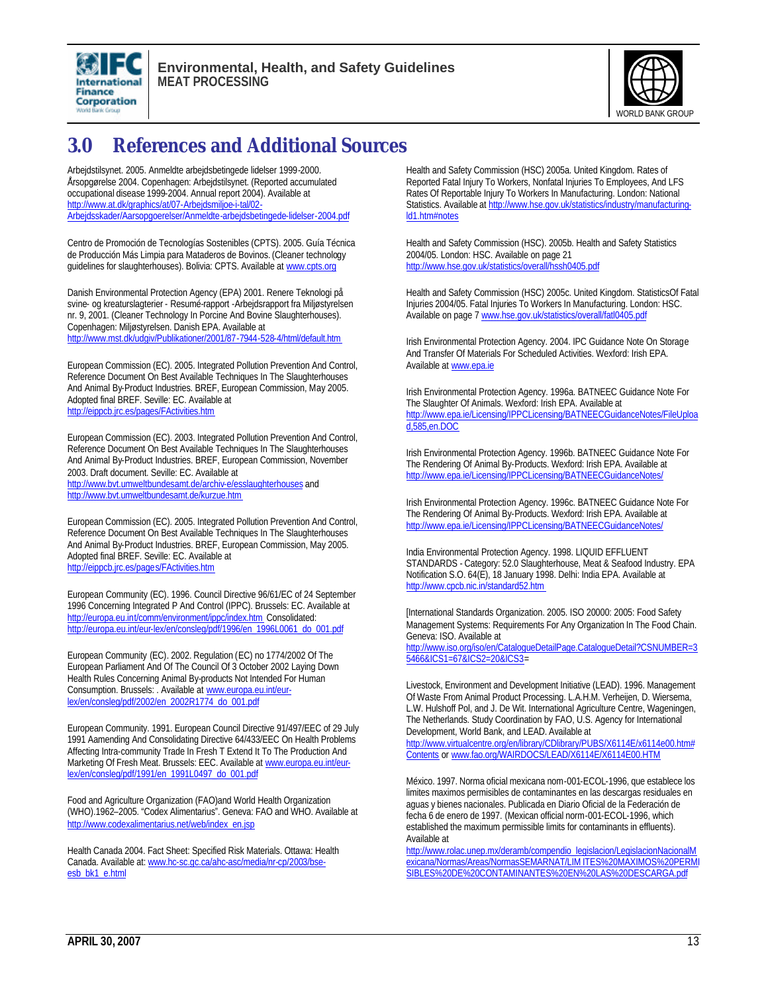



### **3.0 References and Additional Sources**

Arbejdstilsynet. 2005. Anmeldte arbejdsbetingede lidelser 1999-2000. Årsopgørelse 2004. Copenhagen: Arbejdstilsynet. (Reported accumulated occupational disease 1999-2004. Annual report 2004). Available at http://www.at.dk/graphics/at/07-Arbejdsmiljoe-i-tal/02-Arbejdsskader/Aarsopgoerelser/Anmeldte-arbejdsbetingede-lidelser-2004.pdf

Centro de Promoción de Tecnologías Sostenibles (CPTS). 2005. Guía Técnica de Producción Más Limpia para Mataderos de Bovinos. (Cleaner technology guidelines for slaughterhouses). Bolivia: CPTS. Available at www.cpts.org

Danish Environmental Protection Agency (EPA) 2001. Renere Teknologi på svine- og kreaturslagterier - Resumé-rapport -Arbejdsrapport fra Miljøstyrelsen nr. 9, 2001. (Cleaner Technology In Porcine And Bovine Slaughterhouses). Copenhagen: Miljøstyrelsen. Danish EPA. Available at http://www.mst.dk/udgiv/Publikationer/2001/87-7944-528-4/html/default.htm

European Commission (EC). 2005. Integrated Pollution Prevention And Control, Reference Document On Best Available Techniques In The Slaughterhouses And Animal By-Product Industries. BREF, European Commission, May 2005. Adopted final BREF. Seville: EC. Available at http://eippcb.jrc.es/pages/FActivities.htm

European Commission (EC). 2003. Integrated Pollution Prevention And Control, Reference Document On Best Available Techniques In The Slaughterhouses And Animal By-Product Industries. BREF, European Commission, November 2003. Draft document. Seville: EC. Available at http://www.bvt.umweltbundesamt.de/archiv-e/esslaughterhouses and http://www.bvt.umweltbundesamt.de/kurzue.htm

European Commission (EC). 2005. Integrated Pollution Prevention And Control, Reference Document On Best Available Techniques In The Slaughterhouses And Animal By-Product Industries. BREF, European Commission, May 2005. Adopted final BREF. Seville: EC. Available at http://eippcb.jrc.es/pages/FActivities.htm

European Community (EC). 1996. Council Directive 96/61/EC of 24 September 1996 Concerning Integrated P And Control (IPPC). Brussels: EC. Available at http://europa.eu.int/comm/environment/ippc/index.htm Consolidated: http://europa.eu.int/eur-lex/en/consleg/pdf/1996/en\_1996L0061\_do\_001.pdf

European Community (EC). 2002. Regulation (EC) no 1774/2002 Of The European Parliament And Of The Council Of 3 October 2002 Laying Down Health Rules Concerning Animal By-products Not Intended For Human Consumption. Brussels: . Available at www.europa.eu.int/eurlex/en/consleg/pdf/2002/en\_2002R1774\_do\_001.pdf

European Community. 1991. European Council Directive 91/497/EEC of 29 July 1991 Aamending And Consolidating Directive 64/433/EEC On Health Problems Affecting Intra-community Trade In Fresh T Extend It To The Production And Marketing Of Fresh Meat. Brussels: EEC. Available at www.europa.eu.int/eurlex/en/consleg/pdf/1991/en\_1991L0497\_do\_001.pdf

Food and Agriculture Organization (FAO)and World Health Organization (WHO).1962–2005. "Codex Alimentarius". Geneva: FAO and WHO. Available at http://www.codexalimentarius.net/web/index\_en.jsp

Health Canada 2004. Fact Sheet: Specified Risk Materials. Ottawa: Health Canada. Available at: www.hc-sc.gc.ca/ahc-asc/media/nr-cp/2003/bseesb\_bk1\_e.html

Health and Safety Commission (HSC) 2005a. United Kingdom. Rates of Reported Fatal Injury To Workers, Nonfatal Injuries To Employees, And LFS Rates Of Reportable Injury To Workers In Manufacturing. London: National Statistics. Available at http://www.hse.gov.uk/statistics/industry/manufacturingld1.htm#notes

Health and Safety Commission (HSC). 2005b. Health and Safety Statistics 2004/05. London: HSC. Available on page 21 http://www.hse.gov.uk/statistics/overall/hssh0405.pdf

Health and Safety Commission (HSC) 2005c. United Kingdom. StatisticsOf Fatal Injuries 2004/05. Fatal Injuries To Workers In Manufacturing. London: HSC. Available on page 7 www.hse.gov.uk/statistics/overall/fatl0405.pdf

Irish Environmental Protection Agency. 2004. IPC Guidance Note On Storage And Transfer Of Materials For Scheduled Activities. Wexford: Irish EPA. Available at www.epa.ie

Irish Environmental Protection Agency. 1996a. BATNEEC Guidance Note For The Slaughter Of Animals. Wexford: Irish EPA. Available at http://www.epa.ie/Licensing/IPPCLicensing/BATNEECGuidanceNotes/FileUploa d,585,en.DOC

Irish Environmental Protection Agency. 1996b. BATNEEC Guidance Note For The Rendering Of Animal By-Products. Wexford: Irish EPA. Available at http://www.epa.ie/Licensing/IPPCLicensing/BATNEECGuidanceNotes/

Irish Environmental Protection Agency. 1996c. BATNEEC Guidance Note For The Rendering Of Animal By-Products. Wexford: Irish EPA. Available at http://www.epa.ie/Licensing/IPPCLicensing/BATNEECGuidanceNotes/

India Environmental Protection Agency. 1998. LIQUID EFFLUENT STANDARDS - Category: 52.0 Slaughterhouse, Meat & Seafood Industry. EPA Notification S.O. 64(E), 18 January 1998. Delhi: India EPA. Available at http://www.cpcb.nic.in/standard52.htm

[International Standards Organization. 2005. ISO 20000: 2005: Food Safety Management Systems: Requirements For Any Organization In The Food Chain. Geneva: ISO. Available at http://www.iso.org/iso/en/CatalogueDetailPage.CatalogueDetail?CSNUMBER=3 5466&ICS1=67&ICS2=20&ICS3=

Livestock, Environment and Development Initiative (LEAD). 1996. Management Of Waste From Animal Product Processing. L.A.H.M. Verheijen, D. Wiersema, L.W. Hulshoff Pol, and J. De Wit. International Agriculture Centre, Wageningen, The Netherlands. Study Coordination by FAO, U.S. Agency for International Development, World Bank, and LEAD. Available at

http://www.virtualcentre.org/en/library/CDlibrary/PUBS/X6114E/x6114e00.htm# Contents or www.fao.org/WAIRDOCS/LEAD/X6114E/X6114E00.HTM

México. 1997. Norma oficial mexicana nom-001-ECOL-1996, que establece los limites maximos permisibles de contaminantes en las descargas residuales en aguas y bienes nacionales. Publicada en Diario Oficial de la Federación de fecha 6 de enero de 1997. (Mexican official norm-001-ECOL-1996, which established the maximum permissible limits for contaminants in effluents). Available at

http://www.rolac.unep.mx/deramb/compendio\_legislacion/LegislacionNacionalM exicana/Normas/Areas/NormasSEMARNAT/LIMITES%20MAXIMOS%20PERMI SIBLES%20DE%20CONTAMINANTES%20EN%20LAS%20DESCARGA.pdf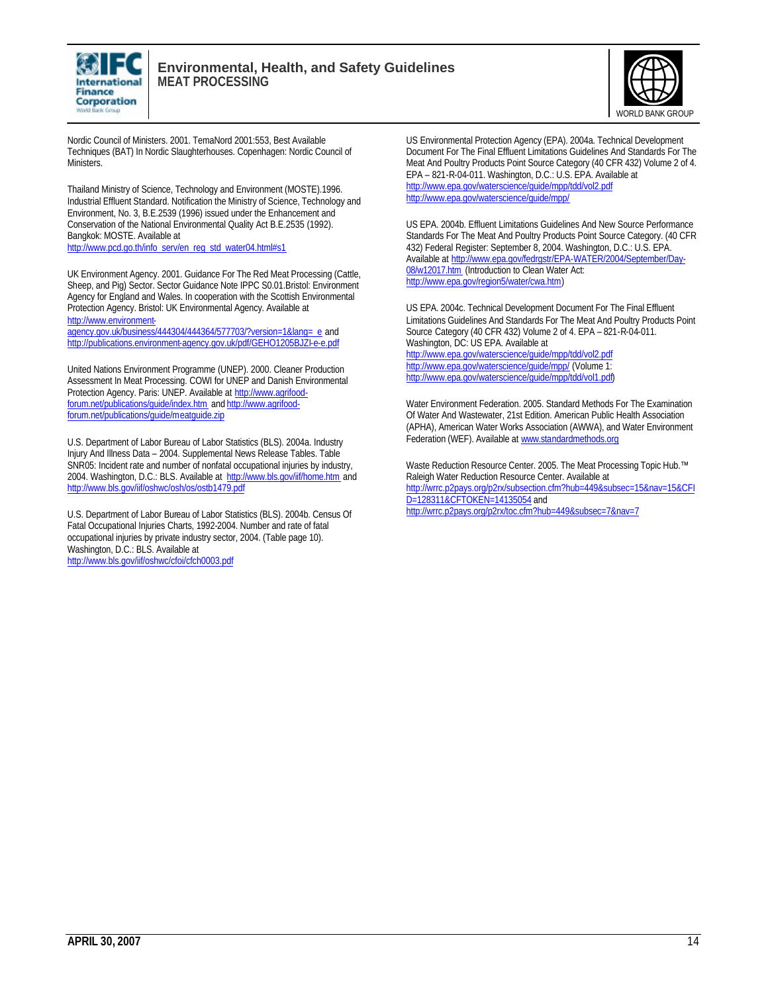



Nordic Council of Ministers. 2001. TemaNord 2001:553, Best Available Techniques (BAT) In Nordic Slaughterhouses. Copenhagen: Nordic Council of Ministers.

Thailand Ministry of Science, Technology and Environment (MOSTE).1996. Industrial Effluent Standard. Notification the Ministry of Science, Technology and Environment, No. 3, B.E.2539 (1996) issued under the Enhancement and Conservation of the National Environmental Quality Act B.E.2535 (1992). Bangkok: MOSTE. Available at http://www.pcd.go.th/info\_serv/en\_reg\_std\_water04.html#s1

UK Environment Agency. 2001. Guidance For The Red Meat Processing (Cattle, Sheep, and Pig) Sector. Sector Guidance Note IPPC S0.01.Bristol: Environment Agency for England and Wales. In cooperation with the Scottish Environmental Protection Agency. Bristol: UK Environmental Agency. Available at http://www.environment-

agency.gov.uk/business/444304/444364/577703/?version=1&lang=\_e and http://publications.environment-agency.gov.uk/pdf/GEHO1205BJZI-e-e.pdf

United Nations Environment Programme (UNEP). 2000. Cleaner Production Assessment In Meat Processing. COWI for UNEP and Danish Environmental Protection Agency. Paris: UNEP. Available at http://www.agrifoodforum.net/publications/guide/index.htm and http://www.agrifoodforum.net/publications/guide/meatquide.zip

U.S. Department of Labor Bureau of Labor Statistics (BLS). 2004a. Industry Injury And Illness Data – 2004. Supplemental News Release Tables. Table SNR05: Incident rate and number of nonfatal occupational injuries by industry, 2004. Washington, D.C.: BLS. Available at http://www.bls.gov/iif/home.htm and http://www.bls.gov/iif/oshwc/osh/os/ostb1479.pdf

U.S. Department of Labor Bureau of Labor Statistics (BLS). 2004b. Census Of Fatal Occupational Injuries Charts, 1992-2004. Number and rate of fatal occupational injuries by private industry sector, 2004. (Table page 10). Washington, D.C.: BLS. Available at http://www.bls.gov/iif/oshwc/cfoi/cfch0003.pdf

US Environmental Protection Agency (EPA). 2004a. Technical Development Document For The Final Effluent Limitations Guidelines And Standards For The Meat And Poultry Products Point Source Category (40 CFR 432) Volume 2 of 4. EPA – 821-R-04-011. Washington, D.C.: U.S. EPA. Available at http://www.epa.gov/waterscience/guide/mpp/tdd/vol2.pdf http://www.epa.gov/waterscience/guide/mpp/

US EPA. 2004b. Effluent Limitations Guidelines And New Source Performance Standards For The Meat And Poultry Products Point Source Category. (40 CFR 432) Federal Register: September 8, 2004. Washington, D.C.: U.S. EPA. Available at http://www.epa.gov/fedrgstr/EPA-WATER/2004/September/Day-08/w12017.htm (Introduction to Clean Water Act: http://www.epa.gov/region5/water/cwa.htm)

US EPA. 2004c. Technical Development Document For The Final Effluent Limitations Guidelines And Standards For The Meat And Poultry Products Point Source Category (40 CFR 432) Volume 2 of 4. EPA – 821-R-04-011. Washington, DC: US EPA. Available at http://www.epa.gov/waterscience/guide/mpp/tdd/vol2.pdf http://www.epa.gov/waterscience/guide/mpp/ (Volume 1: http://www.epa.gov/waterscience/guide/mpp/tdd/vol1.pdf)

Water Environment Federation. 2005. Standard Methods For The Examination Of Water And Wastewater, 21st Edition. American Public Health Association (APHA), American Water Works Association (AWWA), and Water Environment Federation (WEF). Available at www.standardmethods.org

Waste Reduction Resource Center. 2005. The Meat Processing Topic Hub.™ Raleigh Water Reduction Resource Center. Available at http://wrrc.p2pays.org/p2rx/subsection.cfm?hub=449&subsec=15&nav=15&CFI D=128311&CFTOKEN=14135054 and http://wrrc.p2pays.org/p2rx/toc.cfm?hub=449&subsec=7&nav=7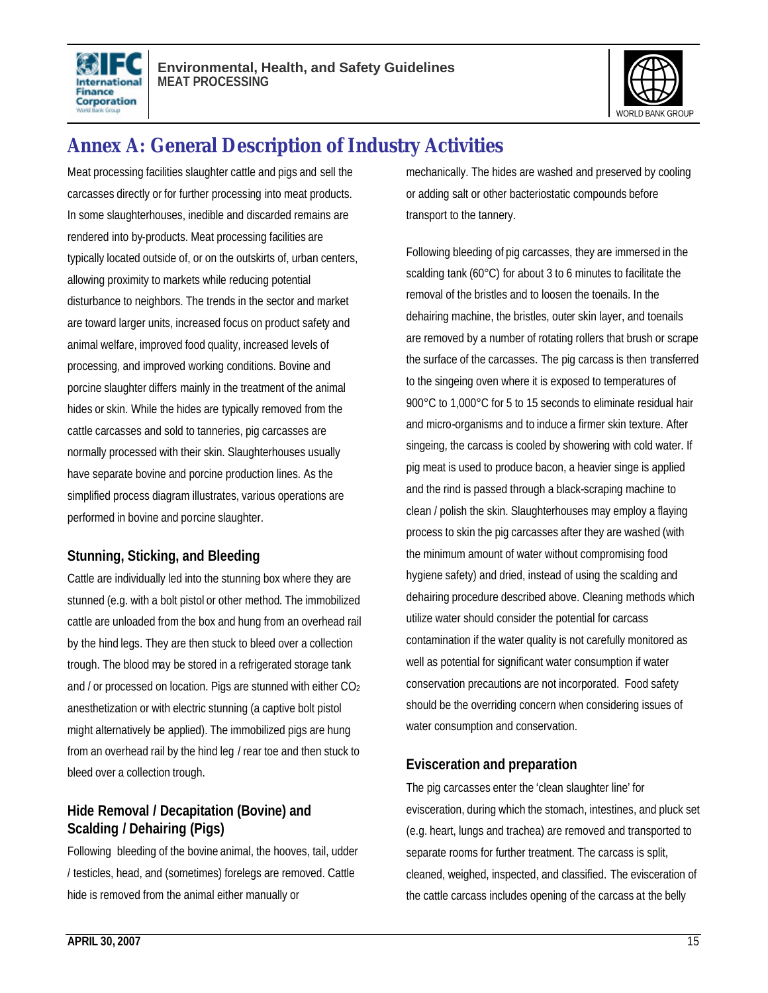



## **Annex A: General Description of Industry Activities**

Meat processing facilities slaughter cattle and pigs and sell the carcasses directly or for further processing into meat products. In some slaughterhouses, inedible and discarded remains are rendered into by-products. Meat processing facilities are typically located outside of, or on the outskirts of, urban centers, allowing proximity to markets while reducing potential disturbance to neighbors. The trends in the sector and market are toward larger units, increased focus on product safety and animal welfare, improved food quality, increased levels of processing, and improved working conditions. Bovine and porcine slaughter differs mainly in the treatment of the animal hides or skin. While the hides are typically removed from the cattle carcasses and sold to tanneries, pig carcasses are normally processed with their skin. Slaughterhouses usually have separate bovine and porcine production lines. As the simplified process diagram illustrates, various operations are performed in bovine and porcine slaughter.

#### **Stunning, Sticking, and Bleeding**

Cattle are individually led into the stunning box where they are stunned (e.g. with a bolt pistol or other method. The immobilized cattle are unloaded from the box and hung from an overhead rail by the hind legs. They are then stuck to bleed over a collection trough. The blood may be stored in a refrigerated storage tank and / or processed on location. Pigs are stunned with either CO<sub>2</sub> anesthetization or with electric stunning (a captive bolt pistol might alternatively be applied). The immobilized pigs are hung from an overhead rail by the hind leg / rear toe and then stuck to bleed over a collection trough.

#### **Hide Removal / Decapitation (Bovine) and Scalding / Dehairing (Pigs)**

Following bleeding of the bovine animal, the hooves, tail, udder / testicles, head, and (sometimes) forelegs are removed. Cattle hide is removed from the animal either manually or

mechanically. The hides are washed and preserved by cooling or adding salt or other bacteriostatic compounds before transport to the tannery.

Following bleeding of pig carcasses, they are immersed in the scalding tank (60°C) for about 3 to 6 minutes to facilitate the removal of the bristles and to loosen the toenails. In the dehairing machine, the bristles, outer skin layer, and toenails are removed by a number of rotating rollers that brush or scrape the surface of the carcasses. The pig carcass is then transferred to the singeing oven where it is exposed to temperatures of 900°C to 1,000°C for 5 to 15 seconds to eliminate residual hair and micro-organisms and to induce a firmer skin texture. After singeing, the carcass is cooled by showering with cold water. If pig meat is used to produce bacon, a heavier singe is applied and the rind is passed through a black-scraping machine to clean / polish the skin. Slaughterhouses may employ a flaying process to skin the pig carcasses after they are washed (with the minimum amount of water without compromising food hygiene safety) and dried, instead of using the scalding and dehairing procedure described above. Cleaning methods which utilize water should consider the potential for carcass contamination if the water quality is not carefully monitored as well as potential for significant water consumption if water conservation precautions are not incorporated. Food safety should be the overriding concern when considering issues of water consumption and conservation.

#### **Evisceration and preparation**

The pig carcasses enter the 'clean slaughter line' for evisceration, during which the stomach, intestines, and pluck set (e.g. heart, lungs and trachea) are removed and transported to separate rooms for further treatment. The carcass is split, cleaned, weighed, inspected, and classified. The evisceration of the cattle carcass includes opening of the carcass at the belly